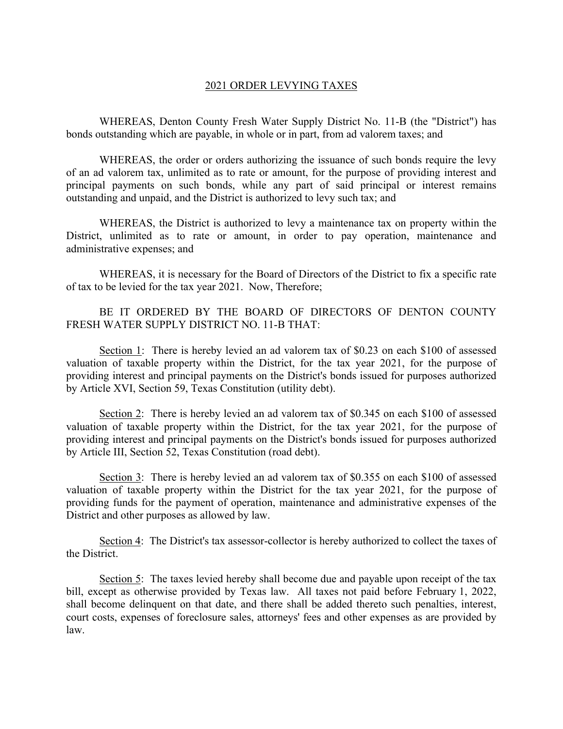## 2021 ORDER LEVYING TAXES

 WHEREAS, Denton County Fresh Water Supply District No. 11-B (the "District") has bonds outstanding which are payable, in whole or in part, from ad valorem taxes; and

 WHEREAS, the order or orders authorizing the issuance of such bonds require the levy of an ad valorem tax, unlimited as to rate or amount, for the purpose of providing interest and principal payments on such bonds, while any part of said principal or interest remains outstanding and unpaid, and the District is authorized to levy such tax; and

 WHEREAS, the District is authorized to levy a maintenance tax on property within the District, unlimited as to rate or amount, in order to pay operation, maintenance and administrative expenses; and

 WHEREAS, it is necessary for the Board of Directors of the District to fix a specific rate of tax to be levied for the tax year 2021. Now, Therefore;

 BE IT ORDERED BY THE BOARD OF DIRECTORS OF DENTON COUNTY FRESH WATER SUPPLY DISTRICT NO. 11-B THAT:

 Section 1: There is hereby levied an ad valorem tax of \$0.23 on each \$100 of assessed valuation of taxable property within the District, for the tax year 2021, for the purpose of providing interest and principal payments on the District's bonds issued for purposes authorized by Article XVI, Section 59, Texas Constitution (utility debt).

Section 2: There is hereby levied an ad valorem tax of \$0.345 on each \$100 of assessed valuation of taxable property within the District, for the tax year 2021, for the purpose of providing interest and principal payments on the District's bonds issued for purposes authorized by Article III, Section 52, Texas Constitution (road debt).

 Section 3: There is hereby levied an ad valorem tax of \$0.355 on each \$100 of assessed valuation of taxable property within the District for the tax year 2021, for the purpose of providing funds for the payment of operation, maintenance and administrative expenses of the District and other purposes as allowed by law.

Section 4: The District's tax assessor-collector is hereby authorized to collect the taxes of the District.

Section  $\overline{5}$ : The taxes levied hereby shall become due and payable upon receipt of the tax bill, except as otherwise provided by Texas law. All taxes not paid before February 1, 2022, shall become delinquent on that date, and there shall be added thereto such penalties, interest, court costs, expenses of foreclosure sales, attorneys' fees and other expenses as are provided by law.